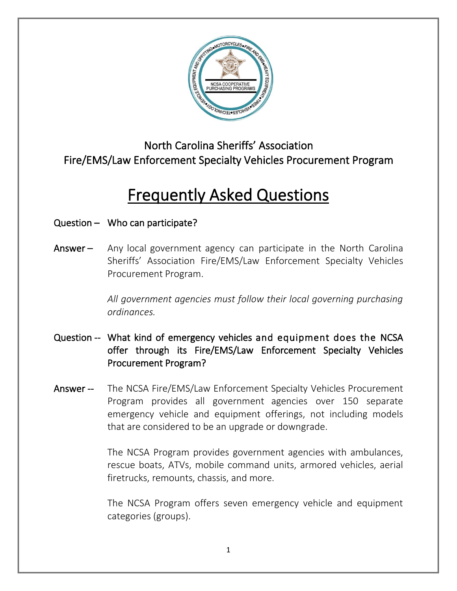

North Carolina Sheriffs' Association Fire/EMS/Law Enforcement Specialty Vehicles Procurement Program

# Frequently Asked Questions

### Question – Who can participate?

Answer – Any local government agency can participate in the North Carolina Sheriffs' Association Fire/EMS/Law Enforcement Specialty Vehicles Procurement Program.

> *All government agencies must follow their local governing purchasing ordinances.*

- Question -- What kind of emergency vehicles and equipment does the NCSA offer through its Fire/EMS/Law Enforcement Specialty Vehicles Procurement Program?
- Answer -- The NCSA Fire/EMS/Law Enforcement Specialty Vehicles Procurement Program provides all government agencies over 150 separate emergency vehicle and equipment offerings, not including models that are considered to be an upgrade or downgrade.

The NCSA Program provides government agencies with ambulances, rescue boats, ATVs, mobile command units, armored vehicles, aerial firetrucks, remounts, chassis, and more.

The NCSA Program offers seven emergency vehicle and equipment categories (groups).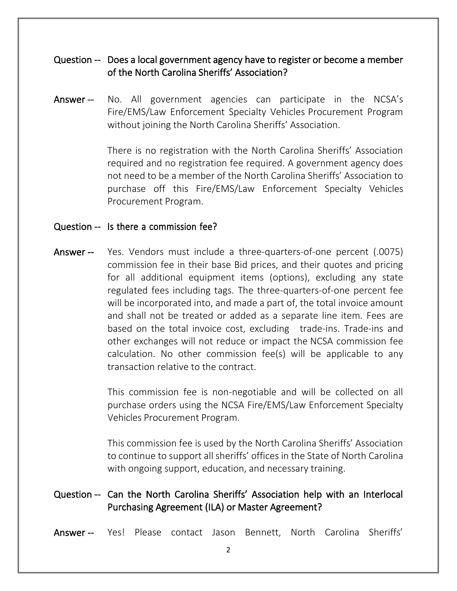### Question -- Does a local government agency have to register or become a member of the North Carolina Sheriffs' Association?

Answer -- No. All government agencies can participate in the NCSA's Fire/EMS/Law Enforcement Specialty Vehicles Procurement Program without joining the North Carolina Sheriffs' Association.

> There is no registration with the North Carolina Sheriffs' Association required and no registration fee required. A government agency does not need to be a member of the North Carolina Sheriffs' Association to purchase off this Fire/EMS/Law Enforcement Specialty Vehicles Procurement Program.

#### Question -- Is there a commission fee?

Answer -- Yes. Vendors must include a three-quarters-of-one percent (.0075) commission fee in their base Bid prices, and their quotes and pricing for all additional equipment items (options), excluding any state regulated fees including tags. The three-quarters-of-one percent fee will be incorporated into, and made a part of, the total invoice amount and shall not be treated or added as a separate line item. Fees are based on the total invoice cost, excluding trade-ins. Trade-ins and other exchanges will not reduce or impact the NCSA commission fee calculation. No other commission fee(s) will be applicable to any transaction relative to the contract.

> This commission fee is non-negotiable and will be collected on all purchase orders using the NCSA Fire/EMS/Law Enforcement Specialty Vehicles Procurement Program.

> This commission fee is used by the North Carolina Sheriffs' Association to continue to support all sheriffs' offices in the State of North Carolina with ongoing support, education, and necessary training.

# Question -- Can the North Carolina Sheriffs' Association help with an Interlocal Purchasing Agreement (ILA) or Master Agreement?

Answer -- Yes! Please contact Jason Bennett, North Carolina Sheriffs'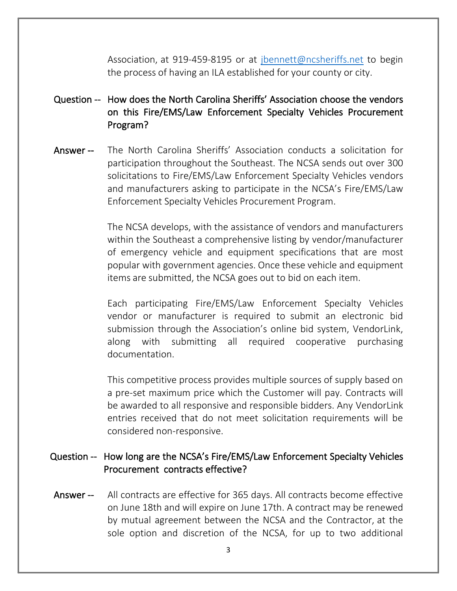Association, at 919-459-8195 or at [jbennett@ncsheriffs.net](mailto:jbennett@ncsheriffs.net) to begin the process of having an ILA established for your county or city.

- Question -- How does the North Carolina Sheriffs' Association choose the vendors on this Fire/EMS/Law Enforcement Specialty Vehicles Procurement Program?
- Answer -- The North Carolina Sheriffs' Association conducts a solicitation for participation throughout the Southeast. The NCSA sends out over 300 solicitations to Fire/EMS/Law Enforcement Specialty Vehicles vendors and manufacturers asking to participate in the NCSA's Fire/EMS/Law Enforcement Specialty Vehicles Procurement Program.

The NCSA develops, with the assistance of vendors and manufacturers within the Southeast a comprehensive listing by vendor/manufacturer of emergency vehicle and equipment specifications that are most popular with government agencies. Once these vehicle and equipment items are submitted, the NCSA goes out to bid on each item.

Each participating Fire/EMS/Law Enforcement Specialty Vehicles vendor or manufacturer is required to submit an electronic bid submission through the Association's online bid system, VendorLink, along with submitting all required cooperative purchasing documentation.

This competitive process provides multiple sources of supply based on a pre-set maximum price which the Customer will pay. Contracts will be awarded to all responsive and responsible bidders. Any VendorLink entries received that do not meet solicitation requirements will be considered non-responsive.

# Question -- How long are the NCSA's Fire/EMS/Law Enforcement Specialty Vehicles Procurement contracts effective?

Answer -- All contracts are effective for 365 days. All contracts become effective on June 18th and will expire on June 17th. A contract may be renewed by mutual agreement between the NCSA and the Contractor, at the sole option and discretion of the NCSA, for up to two additional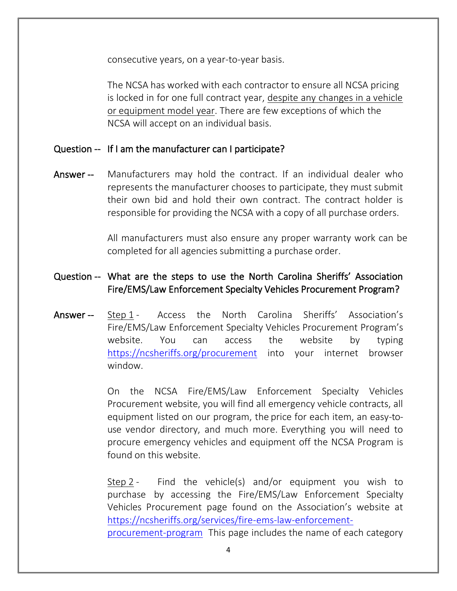consecutive years, on a year-to-year basis.

The NCSA has worked with each contractor to ensure all NCSA pricing is locked in for one full contract year, despite any changes in a vehicle or equipment model year. There are few exceptions of which the NCSA will accept on an individual basis.

#### Question -- If I am the manufacturer can I participate?

Answer -- Manufacturers may hold the contract. If an individual dealer who represents the manufacturer chooses to participate, they must submit their own bid and hold their own contract. The contract holder is responsible for providing the NCSA with a copy of all purchase orders.

> All manufacturers must also ensure any proper warranty work can be completed for all agencies submitting a purchase order.

# Question -- What are the steps to use the North Carolina Sheriffs' Association Fire/EMS/Law Enforcement Specialty Vehicles Procurement Program?

Answer -- Step 1 - Access the North Carolina Sheriffs' Association's Fire/EMS/Law Enforcement Specialty Vehicles Procurement Program's website. You can access the website by typing <https://ncsheriffs.org/procurement> into your internet browser window.

> On the NCSA Fire/EMS/Law Enforcement Specialty Vehicles Procurement website, you will find all emergency vehicle contracts, all equipment listed on our program, the price for each item, an easy-touse vendor directory, and much more. Everything you will need to procure emergency vehicles and equipment off the NCSA Program is found on this website.

> Step 2 - Find the vehicle(s) and/or equipment you wish to purchase by accessing the Fire/EMS/Law Enforcement Specialty Vehicles Procurement page found on the Association's website at [https://ncsheriffs.org/services/fire-ems-law-enforcement](https://ncsheriffs.org/services/fire-ems-law-enforcement-procurement-program)[procurement-program](https://ncsheriffs.org/services/fire-ems-law-enforcement-procurement-program) This page includes the name of each category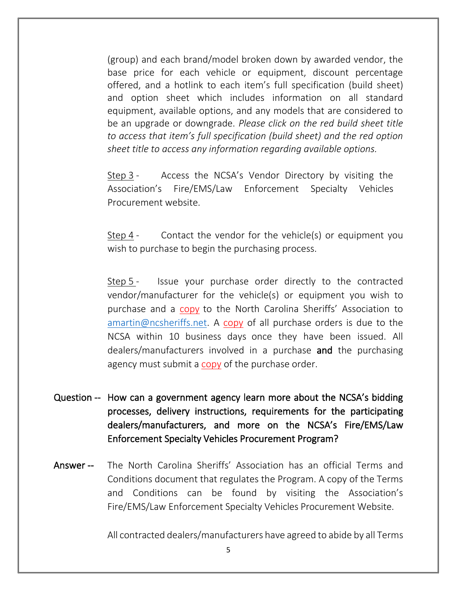(group) and each brand/model broken down by awarded vendor, the base price for each vehicle or equipment, discount percentage offered, and a hotlink to each item's full specification (build sheet) and option sheet which includes information on all standard equipment, available options, and any models that are considered to be an upgrade or downgrade. *Please click on the red build sheet title to access that item's full specification (build sheet) and the red option sheet title to access any information regarding available options.*

Step 3 - Access the NCSA's Vendor Directory by visiting the Association's Fire/EMS/Law Enforcement Specialty Vehicles Procurement website.

Step 4 - Contact the vendor for the vehicle(s) or equipment you wish to purchase to begin the purchasing process.

Step 5 - Issue your purchase order directly to the contracted vendor/manufacturer for the vehicle(s) or equipment you wish to purchase and a copy to the North Carolina Sheriffs' Association to  $amartin@ncsheriffs.net.$  A copy of all purchase orders is due to the NCSA within 10 business days once they have been issued. All dealers/manufacturers involved in a purchase and the purchasing agency must submit a copy of the purchase order.

- Question -- How can a government agency learn more about the NCSA's bidding processes, delivery instructions, requirements for the participating dealers/manufacturers, and more on the NCSA's Fire/EMS/Law Enforcement Specialty Vehicles Procurement Program?
- Answer -- The North Carolina Sheriffs' Association has an official Terms and Conditions document that regulates the Program. A copy of the Terms and Conditions can be found by visiting the Association's Fire/EMS/Law Enforcement Specialty Vehicles Procurement Website.

All contracted dealers/manufacturers have agreed to abide by all Terms